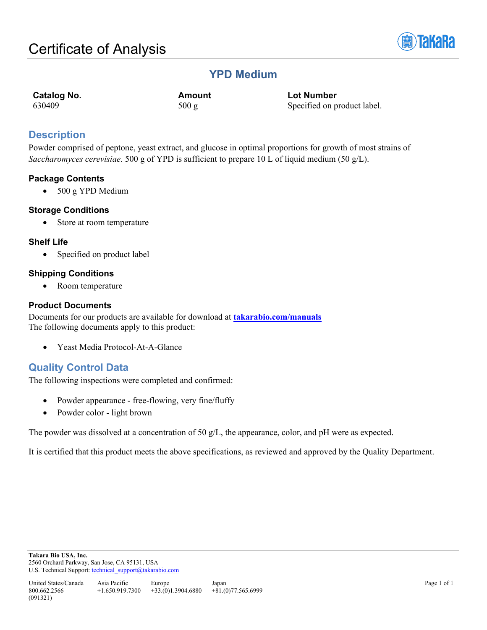

# **YPD Medium**

**Catalog No. Amount Lot Number**<br>  $500 \text{ g}$  Specified on p<br>
Specified on p 500 g Specified on product label.

# **Description**

Powder comprised of peptone, yeast extract, and glucose in optimal proportions for growth of most strains of *Saccharomyces cerevisiae*. 500 g of YPD is sufficient to prepare 10 L of liquid medium (50 g/L).

# **Package Contents**

• 500 g YPD Medium

### **Storage Conditions**

• Store at room temperature

## **Shelf Life**

• Specified on product label

## **Shipping Conditions**

• Room temperature

### **Product Documents**

Documents for our products are available for download at **[takarabio.com/manuals](http://www.takarabio.com/manuals)** The following documents apply to this product:

• Yeast Media Protocol-At-A-Glance

# **Quality Control Data**

The following inspections were completed and confirmed:

- Powder appearance free-flowing, very fine/fluffy
- Powder color light brown

The powder was dissolved at a concentration of 50 g/L, the appearance, color, and pH were as expected.

It is certified that this product meets the above specifications, as reviewed and approved by the Quality Department.